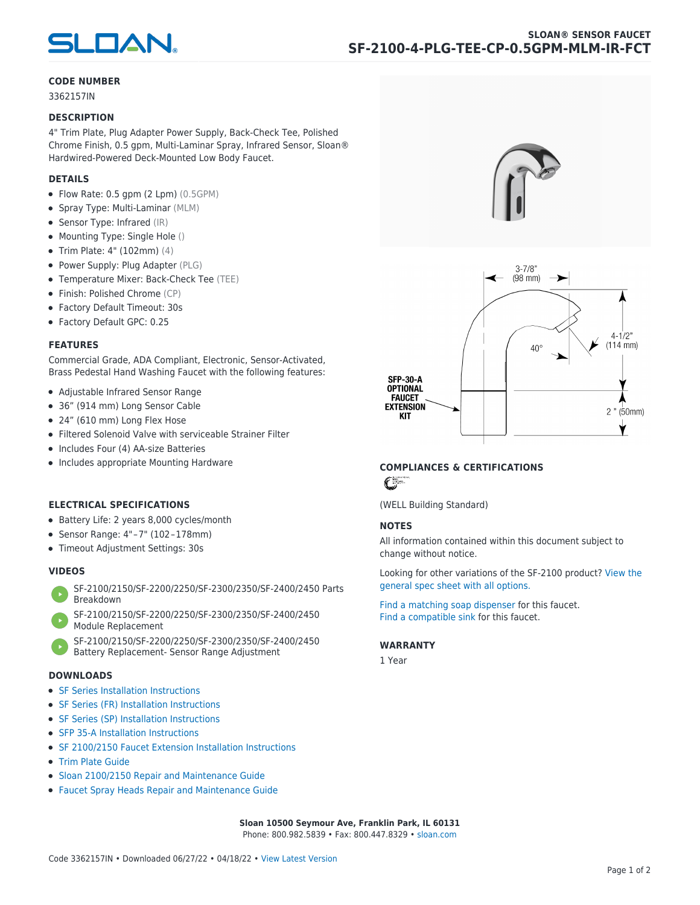

# **CODE NUMBER**

3362157IN

### **DESCRIPTION**

4" Trim Plate, Plug Adapter Power Supply, Back-Check Tee, Polished Chrome Finish, 0.5 gpm, Multi-Laminar Spray, Infrared Sensor, Sloan® Hardwired-Powered Deck-Mounted Low Body Faucet.

# **DETAILS**

- Flow Rate: 0.5 gpm (2 Lpm) (0.5GPM)
- Spray Type: Multi-Laminar (MLM)
- Sensor Type: Infrared (IR)
- Mounting Type: Single Hole ()
- Trim Plate: 4" (102mm) (4)
- Power Supply: Plug Adapter (PLG)
- Temperature Mixer: Back-Check Tee (TEE)
- Finish: Polished Chrome (CP)
- Factory Default Timeout: 30s
- Factory Default GPC: 0.25

### **FEATURES**

Commercial Grade, ADA Compliant, Electronic, Sensor-Activated, Brass Pedestal Hand Washing Faucet with the following features:

- Adjustable Infrared Sensor Range
- 36" (914 mm) Long Sensor Cable
- 24" (610 mm) Long Flex Hose
- Filtered Solenoid Valve with serviceable Strainer Filter
- Includes Four (4) AA-size Batteries
- Includes appropriate Mounting Hardware

# **ELECTRICAL SPECIFICATIONS**

- Battery Life: 2 years 8,000 cycles/month
- Sensor Range: 4" – 7" (102 – 178mm)
- Timeout Adjustment Settings: 30s

# **VIDEOS**

- [SF-2100/2150/SF-2200/2250/SF-2300/2350/SF-2400/2450 Parts](https://vimeo.com/307089947) [Breakdown](https://vimeo.com/307089947)
- [SF-2100/2150/SF-2200/2250/SF-2300/2350/SF-2400/2450](https://vimeo.com/307087494) [Module Replacement](https://vimeo.com/307087494)
- [SF-2100/2150/SF-2200/2250/SF-2300/2350/SF-2400/2450](https://vimeo.com/307085279) [Battery Replacement- Sensor Range Adjustment](https://vimeo.com/307085279)

#### **DOWNLOADS**

- [SF Series Installation Instructions](https://en.sloan.com/sites/default/files/2018-02/II0816496Rev5_0.pdf)
- [SF Series \(FR\) Installation Instructions](https://en.sloan.com/sites/default/files/2015-12/0816563-fr.pdf)
- [SF Series \(SP\) Installation Instructions](https://en.sloan.com/sites/default/files/2022-03/0816568SP_Rev2.pdf)
- [SFP 35-A Installation Instructions](https://en.sloan.com/sites/default/files/2015-12/0816817.pdf)
- [SF 2100/2150 Faucet Extension Installation Instructions](https://en.sloan.com/sites/default/files/2015-12/0816736.pdf)
- [Trim Plate Guide](https://en.sloan.com/sites/default/files/2020-03/Trim_PlatesAllFaucets.pdf)
- [Sloan 2100/2150 Repair and Maintenance Guide](https://en.sloan.com/sites/default/files/2022-06/Sloan-SF-2100-2150.pdf)
- [Faucet Spray Heads Repair and Maintenance Guide](https://en.sloan.com/sites/default/files/2020-03/Optima-OptimaPlusFaucet_Spray_Heads.pdf)





# **COMPLIANCES & CERTIFICATIONS**

 $\epsilon$ 

(WELL Building Standard)

# **NOTES**

All information contained within this document subject to change without notice.

[Looking for other variations of the SF-2100 product? View the](https://en.sloan.com/general-spec/576) [general spec sheet with all options.](https://en.sloan.com/general-spec/576)

[Find a matching soap dispenser](https://en.sloan.com/commercial-bathroom-products/soap-dispensers) for this faucet. [Find a compatible sink](https://en.sloan.com/commercial-bathroom-products/sinks) for this faucet.

#### **WARRANTY**

1 Year

**Sloan 10500 Seymour Ave, Franklin Park, IL 60131** Phone: 800.982.5839 • Fax: 800.447.8329 • [sloan.com](https://www.sloan.com)